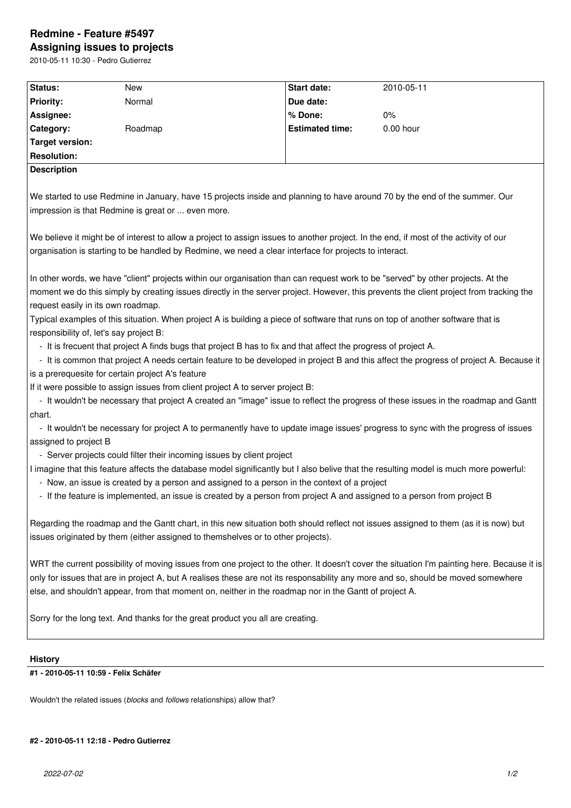## **Redmine - Feature #5497 Assigning issues to projects**

2010-05-11 10:30 - Pedro Gutierrez

| Status:                                                                                                                                     | <b>New</b> | <b>Start date:</b>     | 2010-05-11 |
|---------------------------------------------------------------------------------------------------------------------------------------------|------------|------------------------|------------|
| <b>Priority:</b>                                                                                                                            | Normal     | Due date:              |            |
| Assignee:                                                                                                                                   |            | % Done:                | $0\%$      |
| Category:                                                                                                                                   | Roadmap    | <b>Estimated time:</b> | 0.00 hour  |
| <b>Target version:</b>                                                                                                                      |            |                        |            |
| <b>Resolution:</b>                                                                                                                          |            |                        |            |
| <b>Description</b>                                                                                                                          |            |                        |            |
|                                                                                                                                             |            |                        |            |
| We started to use Redmine in January, have 15 projects inside and planning to have around 70 by the end of the summer. Our                  |            |                        |            |
| impression is that Redmine is great or  even more.                                                                                          |            |                        |            |
|                                                                                                                                             |            |                        |            |
| We believe it might be of interest to allow a project to assign issues to another project. In the end, if most of the activity of our       |            |                        |            |
| organisation is starting to be handled by Redmine, we need a clear interface for projects to interact.                                      |            |                        |            |
|                                                                                                                                             |            |                        |            |
| In other words, we have "client" projects within our organisation than can request work to be "served" by other projects. At the            |            |                        |            |
| moment we do this simply by creating issues directly in the server project. However, this prevents the client project from tracking the     |            |                        |            |
| request easily in its own roadmap.                                                                                                          |            |                        |            |
| Typical examples of this situation. When project A is building a piece of software that runs on top of another software that is             |            |                        |            |
| responsibility of, let's say project B:                                                                                                     |            |                        |            |
| - It is frecuent that project A finds bugs that project B has to fix and that affect the progress of project A.                             |            |                        |            |
| - It is common that project A needs certain feature to be developed in project B and this affect the progress of project A. Because it      |            |                        |            |
| is a prerequesite for certain project A's feature                                                                                           |            |                        |            |
| If it were possible to assign issues from client project A to server project B:                                                             |            |                        |            |
| - It wouldn't be necessary that project A created an "image" issue to reflect the progress of these issues in the roadmap and Gantt         |            |                        |            |
| chart.                                                                                                                                      |            |                        |            |
| - It wouldn't be necessary for project A to permanently have to update image issues' progress to sync with the progress of issues           |            |                        |            |
| assigned to project B                                                                                                                       |            |                        |            |
| - Server projects could filter their incoming issues by client project                                                                      |            |                        |            |
| I imagine that this feature affects the database model significantly but I also belive that the resulting model is much more powerful:      |            |                        |            |
| - Now, an issue is created by a person and assigned to a person in the context of a project                                                 |            |                        |            |
| - If the feature is implemented, an issue is created by a person from project A and assigned to a person from project B                     |            |                        |            |
|                                                                                                                                             |            |                        |            |
| Regarding the roadmap and the Gantt chart, in this new situation both should reflect not issues assigned to them (as it is now) but         |            |                        |            |
| issues originated by them (either assigned to themshelves or to other projects).                                                            |            |                        |            |
| WRT the current possibility of moving issues from one project to the other. It doesn't cover the situation I'm painting here. Because it is |            |                        |            |
| only for issues that are in project A, but A realises these are not its responsability any more and so, should be moved somewhere           |            |                        |            |
| else, and shouldn't appear, from that moment on, neither in the roadmap nor in the Gantt of project A.                                      |            |                        |            |
|                                                                                                                                             |            |                        |            |
| Sorry for the long text. And thanks for the great product you all are creating.                                                             |            |                        |            |
|                                                                                                                                             |            |                        |            |
|                                                                                                                                             |            |                        |            |
| <b>History</b>                                                                                                                              |            |                        |            |
| #1 - 2010-05-11 10:59 - Felix Schäfer                                                                                                       |            |                        |            |
|                                                                                                                                             |            |                        |            |

Wouldn't the related issues (*blocks* and *follows* relationships) allow that?

## **#2 - 2010-05-11 12:18 - Pedro Gutierrez**